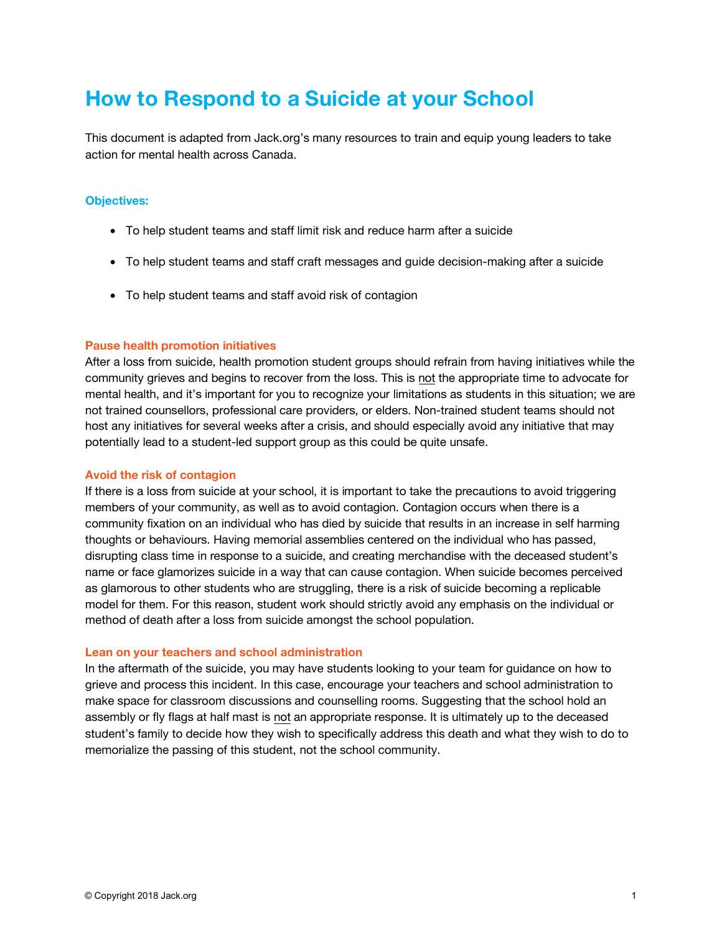# **How to Respond to a Suicide at your School**

This document is adapted from Jack.org's many resources to train and equip young leaders to take action for mental health across Canada.

### **Objectives:**

- To help student teams and staff limit risk and reduce harm after a suicide
- To help student teams and staff craft messages and guide decision-making after a suicide
- To help student teams and staff avoid risk of contagion

### **Pause health promotion initiatives**

After a loss from suicide, health promotion student groups should refrain from having initiatives while the community grieves and begins to recover from the loss. This is not the appropriate time to advocate for mental health, and it's important for you to recognize your limitations as students in this situation; we are not trained counsellors, professional care providers, or elders. Non-trained student teams should not host any initiatives for several weeks after a crisis, and should especially avoid any initiative that may potentially lead to a student-led support group as this could be quite unsafe.

### **Avoid the risk of contagion**

If there is a loss from suicide at your school, it is important to take the precautions to avoid triggering members of your community, as well as to avoid contagion. Contagion occurs when there is a community fixation on an individual who has died by suicide that results in an increase in self harming thoughts or behaviours. Having memorial assemblies centered on the individual who has passed, disrupting class time in response to a suicide, and creating merchandise with the deceased student's name or face glamorizes suicide in a way that can cause contagion. When suicide becomes perceived as glamorous to other students who are struggling, there is a risk of suicide becoming a replicable model for them. For this reason, student work should strictly avoid any emphasis on the individual or method of death after a loss from suicide amongst the school population.

#### **Lean on your teachers and school administration**

In the aftermath of the suicide, you may have students looking to your team for guidance on how to grieve and process this incident. In this case, encourage your teachers and school administration to make space for classroom discussions and counselling rooms. Suggesting that the school hold an assembly or fly flags at half mast is not an appropriate response. It is ultimately up to the deceased student's family to decide how they wish to specifically address this death and what they wish to do to memorialize the passing of this student, not the school community.